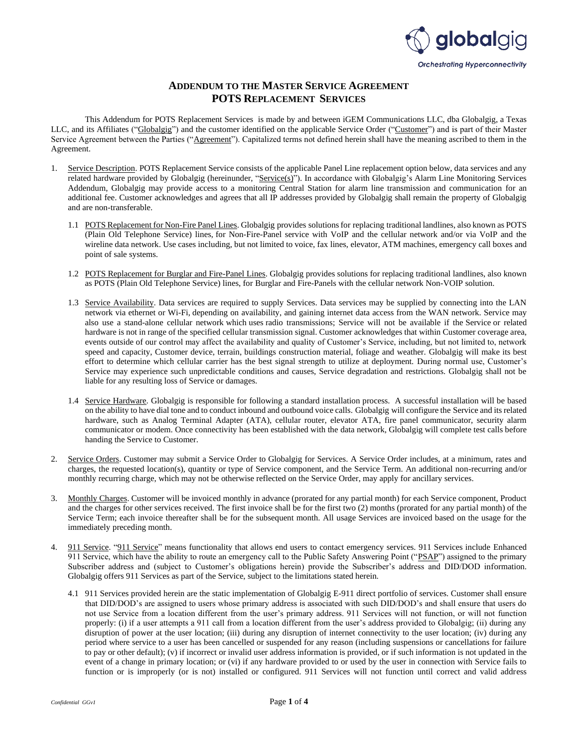

## **ADDENDUM TO THE MASTER SERVICE AGREEMENT POTS REPLACEMENT SERVICES**

This Addendum for POTS Replacement Services is made by and between iGEM Communications LLC, dba Globalgig, a Texas LLC, and its Affiliates ("Globalgig") and the customer identified on the applicable Service Order ("Customer") and is part of their Master Service Agreement between the Parties ("Agreement"). Capitalized terms not defined herein shall have the meaning ascribed to them in the Agreement.

- 1. Service Description. POTS Replacement Service consists of the applicable Panel Line replacement option below, data services and any related hardware provided by Globalgig (hereinunder, "Service(s)"). In accordance with Globalgig's Alarm Line Monitoring Services Addendum, Globalgig may provide access to a monitoring Central Station for alarm line transmission and communication for an additional fee. Customer acknowledges and agrees that all IP addresses provided by Globalgig shall remain the property of Globalgig and are non-transferable.
	- 1.1 POTS Replacement for Non-Fire Panel Lines. Globalgig provides solutions for replacing traditional landlines, also known as POTS (Plain Old Telephone Service) lines, for Non-Fire-Panel service with VoIP and the cellular network and/or via VoIP and the wireline data network. Use cases including, but not limited to voice, fax lines, elevator, ATM machines, emergency call boxes and point of sale systems.
	- 1.2 POTS Replacement for Burglar and Fire-Panel Lines. Globalgig provides solutions for replacing traditional landlines, also known as POTS (Plain Old Telephone Service) lines, for Burglar and Fire-Panels with the cellular network Non-VOIP solution.
	- 1.3 Service Availability. Data services are required to supply Services. Data services may be supplied by connecting into the LAN network via ethernet or Wi-Fi, depending on availability, and gaining internet data access from the WAN network. Service may also use a stand-alone cellular network which uses radio transmissions; Service will not be available if the Service or related hardware is not in range of the specified cellular transmission signal. Customer acknowledges that within Customer coverage area, events outside of our control may affect the availability and quality of Customer's Service, including, but not limited to, network speed and capacity, Customer device, terrain, buildings construction material, foliage and weather. Globalgig will make its best effort to determine which cellular carrier has the best signal strength to utilize at deployment. During normal use, Customer's Service may experience such unpredictable conditions and causes, Service degradation and restrictions. Globalgig shall not be liable for any resulting loss of Service or damages.
	- 1.4 Service Hardware. Globalgig is responsible for following a standard installation process. A successful installation will be based on the ability to have dial tone and to conduct inbound and outbound voice calls. Globalgig will configure the Service and its related hardware, such as Analog Terminal Adapter (ATA), cellular router, elevator ATA, fire panel communicator, security alarm communicator or modem. Once connectivity has been established with the data network, Globalgig will complete test calls before handing the Service to Customer.
- 2. Service Orders. Customer may submit a Service Order to Globalgig for Services. A Service Order includes, at a minimum, rates and charges, the requested location(s), quantity or type of Service component, and the Service Term. An additional non-recurring and/or monthly recurring charge, which may not be otherwise reflected on the Service Order, may apply for ancillary services.
- 3. Monthly Charges. Customer will be invoiced monthly in advance (prorated for any partial month) for each Service component, Product and the charges for other services received. The first invoice shall be for the first two (2) months (prorated for any partial month) of the Service Term; each invoice thereafter shall be for the subsequent month. All usage Services are invoiced based on the usage for the immediately preceding month.
- 4. 911 Service. "911 Service" means functionality that allows end users to contact emergency services. 911 Services include Enhanced 911 Service, which have the ability to route an emergency call to the Public Safety Answering Point ("PSAP") assigned to the primary Subscriber address and (subject to Customer's obligations herein) provide the Subscriber's address and DID/DOD information. Globalgig offers 911 Services as part of the Service, subject to the limitations stated herein.
	- 4.1 911 Services provided herein are the static implementation of Globalgig E-911 direct portfolio of services. Customer shall ensure that DID/DOD's are assigned to users whose primary address is associated with such DID/DOD's and shall ensure that users do not use Service from a location different from the user's primary address. 911 Services will not function, or will not function properly: (i) if a user attempts a 911 call from a location different from the user's address provided to Globalgig; (ii) during any disruption of power at the user location; (iii) during any disruption of internet connectivity to the user location; (iv) during any period where service to a user has been cancelled or suspended for any reason (including suspensions or cancellations for failure to pay or other default); (v) if incorrect or invalid user address information is provided, or if such information is not updated in the event of a change in primary location; or (vi) if any hardware provided to or used by the user in connection with Service fails to function or is improperly (or is not) installed or configured. 911 Services will not function until correct and valid address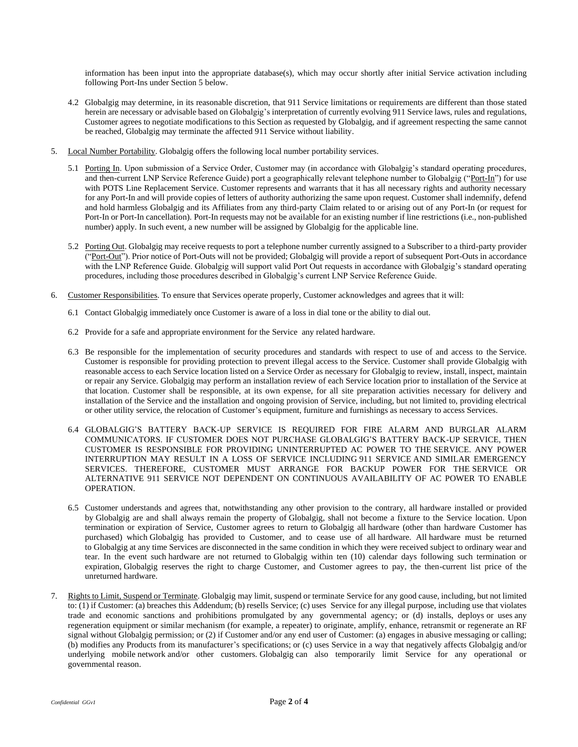information has been input into the appropriate database(s), which may occur shortly after initial Service activation including following Port-Ins under Section 5 below.

- 4.2 Globalgig may determine, in its reasonable discretion, that 911 Service limitations or requirements are different than those stated herein are necessary or advisable based on Globalgig's interpretation of currently evolving 911 Service laws, rules and regulations, Customer agrees to negotiate modifications to this Section as requested by Globalgig, and if agreement respecting the same cannot be reached, Globalgig may terminate the affected 911 Service without liability.
- 5. Local Number Portability. Globalgig offers the following local number portability services.
	- 5.1 Porting In. Upon submission of a Service Order, Customer may (in accordance with Globalgig's standard operating procedures, and then-current LNP Service Reference Guide) port a geographically relevant telephone number to Globalgig ("Port-In") for use with POTS Line Replacement Service. Customer represents and warrants that it has all necessary rights and authority necessary for any Port-In and will provide copies of letters of authority authorizing the same upon request. Customer shall indemnify, defend and hold harmless Globalgig and its Affiliates from any third-party Claim related to or arising out of any Port-In (or request for Port-In or Port-In cancellation). Port-In requests may not be available for an existing number if line restrictions (i.e., non-published number) apply. In such event, a new number will be assigned by Globalgig for the applicable line.
	- 5.2 Porting Out. Globalgig may receive requests to port a telephone number currently assigned to a Subscriber to a third-party provider ("Port-Out"). Prior notice of Port-Outs will not be provided; Globalgig will provide a report of subsequent Port-Outs in accordance with the LNP Reference Guide. Globalgig will support valid Port Out requests in accordance with Globalgig's standard operating procedures, including those procedures described in Globalgig's current LNP Service Reference Guide.
- 6. Customer Responsibilities. To ensure that Services operate properly, Customer acknowledges and agrees that it will:
	- 6.1 Contact Globalgig immediately once Customer is aware of a loss in dial tone or the ability to dial out.
	- 6.2 Provide for a safe and appropriate environment for the Service any related hardware.
	- 6.3 Be responsible for the implementation of security procedures and standards with respect to use of and access to the Service. Customer is responsible for providing protection to prevent illegal access to the Service. Customer shall provide Globalgig with reasonable access to each Service location listed on a Service Order as necessary for Globalgig to review, install, inspect, maintain or repair any Service. Globalgig may perform an installation review of each Service location prior to installation of the Service at that location. Customer shall be responsible, at its own expense, for all site preparation activities necessary for delivery and installation of the Service and the installation and ongoing provision of Service, including, but not limited to, providing electrical or other utility service, the relocation of Customer's equipment, furniture and furnishings as necessary to access Services.
	- 6.4 GLOBALGIG'S BATTERY BACK-UP SERVICE IS REQUIRED FOR FIRE ALARM AND BURGLAR ALARM COMMUNICATORS. IF CUSTOMER DOES NOT PURCHASE GLOBALGIG'S BATTERY BACK-UP SERVICE, THEN CUSTOMER IS RESPONSIBLE FOR PROVIDING UNINTERRUPTED AC POWER TO THE SERVICE. ANY POWER INTERRUPTION MAY RESULT IN A LOSS OF SERVICE INCLUDING 911 SERVICE AND SIMILAR EMERGENCY SERVICES. THEREFORE, CUSTOMER MUST ARRANGE FOR BACKUP POWER FOR THE SERVICE OR ALTERNATIVE 911 SERVICE NOT DEPENDENT ON CONTINUOUS AVAILABILITY OF AC POWER TO ENABLE OPERATION.
	- 6.5 Customer understands and agrees that, notwithstanding any other provision to the contrary, all hardware installed or provided by Globalgig are and shall always remain the property of Globalgig, shall not become a fixture to the Service location. Upon termination or expiration of Service, Customer agrees to return to Globalgig all hardware (other than hardware Customer has purchased) which Globalgig has provided to Customer, and to cease use of all hardware. All hardware must be returned to Globalgig at any time Services are disconnected in the same condition in which they were received subject to ordinary wear and tear. In the event such hardware are not returned to Globalgig within ten (10) calendar days following such termination or expiration, Globalgig reserves the right to charge Customer, and Customer agrees to pay, the then-current list price of the unreturned hardware.
- 7. Rights to Limit, Suspend or Terminate. Globalgig may limit, suspend or terminate Service for any good cause, including, but not limited to: (1) if Customer: (a) breaches this Addendum; (b) resells Service; (c) uses Service for any illegal purpose, including use that violates trade and economic sanctions and prohibitions promulgated by any governmental agency; or (d) installs, deploys or uses any regeneration equipment or similar mechanism (for example, a repeater) to originate, amplify, enhance, retransmit or regenerate an RF signal without Globalgig permission; or (2) if Customer and/or any end user of Customer: (a) engages in abusive messaging or calling; (b) modifies any Products from its manufacturer's specifications; or (c) uses Service in a way that negatively affects Globalgig and/or underlying mobile network and/or other customers. Globalgig can also temporarily limit Service for any operational or governmental reason.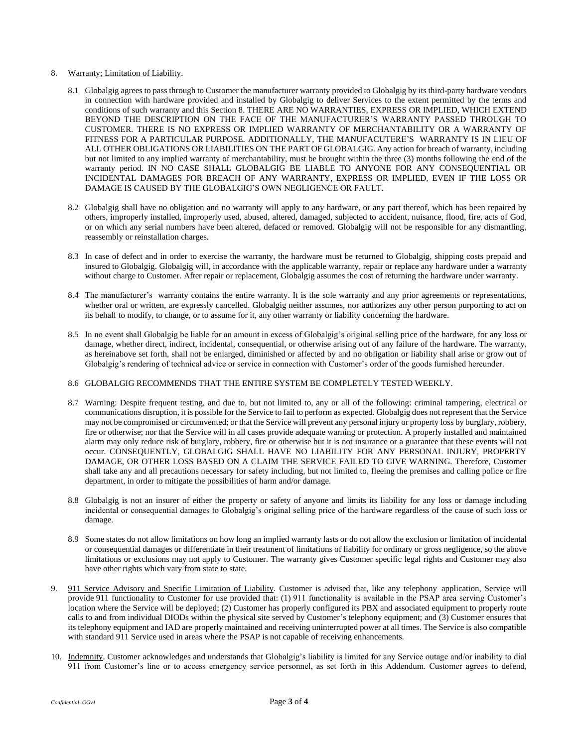## 8. Warranty; Limitation of Liability.

- 8.1 Globalgig agrees to pass through to Customer the manufacturer warranty provided to Globalgig by its third-party hardware vendors in connection with hardware provided and installed by Globalgig to deliver Services to the extent permitted by the terms and conditions of such warranty and this Section 8. THERE ARE NO WARRANTIES, EXPRESS OR IMPLIED, WHICH EXTEND BEYOND THE DESCRIPTION ON THE FACE OF THE MANUFACTURER'S WARRANTY PASSED THROUGH TO CUSTOMER. THERE IS NO EXPRESS OR IMPLIED WARRANTY OF MERCHANTABILITY OR A WARRANTY OF FITNESS FOR A PARTICULAR PURPOSE. ADDITIONALLY, THE MANUFACUTERE'S WARRANTY IS IN LIEU OF ALL OTHER OBLIGATIONS OR LIABILITIES ON THE PART OF GLOBALGIG. Any action for breach of warranty, including but not limited to any implied warranty of merchantability, must be brought within the three (3) months following the end of the warranty period. IN NO CASE SHALL GLOBALGIG BE LIABLE TO ANYONE FOR ANY CONSEQUENTIAL OR INCIDENTAL DAMAGES FOR BREACH OF ANY WARRANTY, EXPRESS OR IMPLIED, EVEN IF THE LOSS OR DAMAGE IS CAUSED BY THE GLOBALGIG'S OWN NEGLIGENCE OR FAULT.
- 8.2 Globalgig shall have no obligation and no warranty will apply to any hardware, or any part thereof, which has been repaired by others, improperly installed, improperly used, abused, altered, damaged, subjected to accident, nuisance, flood, fire, acts of God, or on which any serial numbers have been altered, defaced or removed. Globalgig will not be responsible for any dismantling, reassembly or reinstallation charges.
- 8.3 In case of defect and in order to exercise the warranty, the hardware must be returned to Globalgig, shipping costs prepaid and insured to Globalgig. Globalgig will, in accordance with the applicable warranty, repair or replace any hardware under a warranty without charge to Customer. After repair or replacement, Globalgig assumes the cost of returning the hardware under warranty.
- 8.4 The manufacturer's warranty contains the entire warranty. It is the sole warranty and any prior agreements or representations, whether oral or written, are expressly cancelled. Globalgig neither assumes, nor authorizes any other person purporting to act on its behalf to modify, to change, or to assume for it, any other warranty or liability concerning the hardware.
- 8.5 In no event shall Globalgig be liable for an amount in excess of Globalgig's original selling price of the hardware, for any loss or damage, whether direct, indirect, incidental, consequential, or otherwise arising out of any failure of the hardware. The warranty, as hereinabove set forth, shall not be enlarged, diminished or affected by and no obligation or liability shall arise or grow out of Globalgig's rendering of technical advice or service in connection with Customer's order of the goods furnished hereunder.

## 8.6 GLOBALGIG RECOMMENDS THAT THE ENTIRE SYSTEM BE COMPLETELY TESTED WEEKLY.

- 8.7 Warning: Despite frequent testing, and due to, but not limited to, any or all of the following: criminal tampering, electrical or communications disruption, it is possible for the Service to fail to perform as expected. Globalgig does not represent that the Service may not be compromised or circumvented; or that the Service will prevent any personal injury or property loss by burglary, robbery, fire or otherwise; nor that the Service will in all cases provide adequate warning or protection. A properly installed and maintained alarm may only reduce risk of burglary, robbery, fire or otherwise but it is not insurance or a guarantee that these events will not occur. CONSEQUENTLY, GLOBALGIG SHALL HAVE NO LIABILITY FOR ANY PERSONAL INJURY, PROPERTY DAMAGE, OR OTHER LOSS BASED ON A CLAIM THE SERVICE FAILED TO GIVE WARNING. Therefore, Customer shall take any and all precautions necessary for safety including, but not limited to, fleeing the premises and calling police or fire department, in order to mitigate the possibilities of harm and/or damage.
- 8.8 Globalgig is not an insurer of either the property or safety of anyone and limits its liability for any loss or damage including incidental or consequential damages to Globalgig's original selling price of the hardware regardless of the cause of such loss or damage.
- 8.9 Some states do not allow limitations on how long an implied warranty lasts or do not allow the exclusion or limitation of incidental or consequential damages or differentiate in their treatment of limitations of liability for ordinary or gross negligence, so the above limitations or exclusions may not apply to Customer. The warranty gives Customer specific legal rights and Customer may also have other rights which vary from state to state.
- 9. 911 Service Advisory and Specific Limitation of Liability. Customer is advised that, like any telephony application, Service will provide 911 functionality to Customer for use provided that: (1) 911 functionality is available in the PSAP area serving Customer's location where the Service will be deployed; (2) Customer has properly configured its PBX and associated equipment to properly route calls to and from individual DIODs within the physical site served by Customer's telephony equipment; and (3) Customer ensures that its telephony equipment and IAD are properly maintained and receiving uninterrupted power at all times. The Service is also compatible with standard 911 Service used in areas where the PSAP is not capable of receiving enhancements.
- 10. Indemnity. Customer acknowledges and understands that Globalgig's liability is limited for any Service outage and/or inability to dial 911 from Customer's line or to access emergency service personnel, as set forth in this Addendum. Customer agrees to defend,